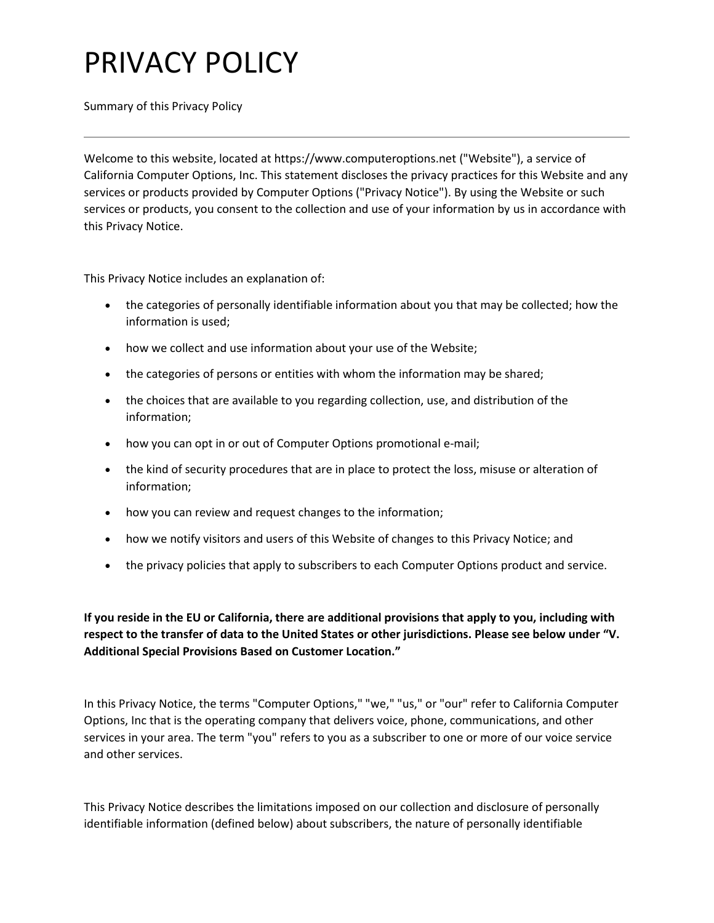Summary of this Privacy Policy

Welcome to this website, located at https://www.computeroptions.net ("Website"), a service of California Computer Options, Inc. This statement discloses the privacy practices for this Website and any services or products provided by Computer Options ("Privacy Notice"). By using the Website or such services or products, you consent to the collection and use of your information by us in accordance with this Privacy Notice.

This Privacy Notice includes an explanation of:

- the categories of personally identifiable information about you that may be collected; how the information is used;
- how we collect and use information about your use of the Website;
- the categories of persons or entities with whom the information may be shared;
- the choices that are available to you regarding collection, use, and distribution of the information;
- how you can opt in or out of Computer Options promotional e-mail;
- the kind of security procedures that are in place to protect the loss, misuse or alteration of information;
- how you can review and request changes to the information;
- how we notify visitors and users of this Website of changes to this Privacy Notice; and
- the privacy policies that apply to subscribers to each Computer Options product and service.

**If you reside in the EU or California, there are additional provisions that apply to you, including with respect to the transfer of data to the United States or other jurisdictions. Please see below under "V. Additional Special Provisions Based on Customer Location."**

In this Privacy Notice, the terms "Computer Options," "we," "us," or "our" refer to California Computer Options, Inc that is the operating company that delivers voice, phone, communications, and other services in your area. The term "you" refers to you as a subscriber to one or more of our voice service and other services.

This Privacy Notice describes the limitations imposed on our collection and disclosure of personally identifiable information (defined below) about subscribers, the nature of personally identifiable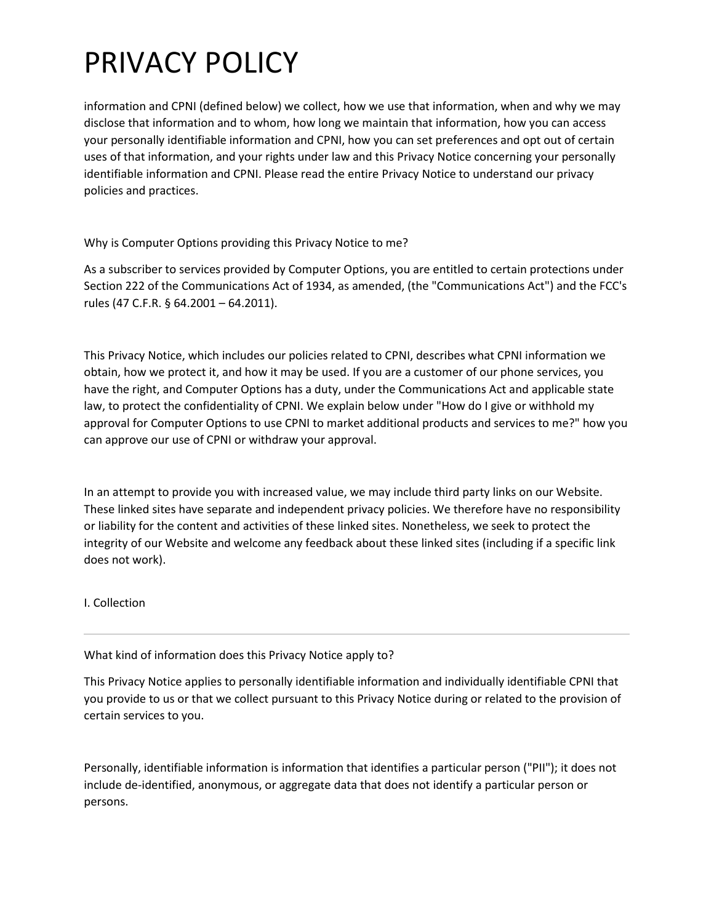information and CPNI (defined below) we collect, how we use that information, when and why we may disclose that information and to whom, how long we maintain that information, how you can access your personally identifiable information and CPNI, how you can set preferences and opt out of certain uses of that information, and your rights under law and this Privacy Notice concerning your personally identifiable information and CPNI. Please read the entire Privacy Notice to understand our privacy policies and practices.

Why is Computer Options providing this Privacy Notice to me?

As a subscriber to services provided by Computer Options, you are entitled to certain protections under Section 222 of the Communications Act of 1934, as amended, (the "Communications Act") and the FCC's rules (47 C.F.R. § 64.2001 – 64.2011).

This Privacy Notice, which includes our policies related to CPNI, describes what CPNI information we obtain, how we protect it, and how it may be used. If you are a customer of our phone services, you have the right, and Computer Options has a duty, under the Communications Act and applicable state law, to protect the confidentiality of CPNI. We explain below under "How do I give or withhold my approval for Computer Options to use CPNI to market additional products and services to me?" how you can approve our use of CPNI or withdraw your approval.

In an attempt to provide you with increased value, we may include third party links on our Website. These linked sites have separate and independent privacy policies. We therefore have no responsibility or liability for the content and activities of these linked sites. Nonetheless, we seek to protect the integrity of our Website and welcome any feedback about these linked sites (including if a specific link does not work).

I. Collection

What kind of information does this Privacy Notice apply to?

This Privacy Notice applies to personally identifiable information and individually identifiable CPNI that you provide to us or that we collect pursuant to this Privacy Notice during or related to the provision of certain services to you.

Personally, identifiable information is information that identifies a particular person ("PII"); it does not include de-identified, anonymous, or aggregate data that does not identify a particular person or persons.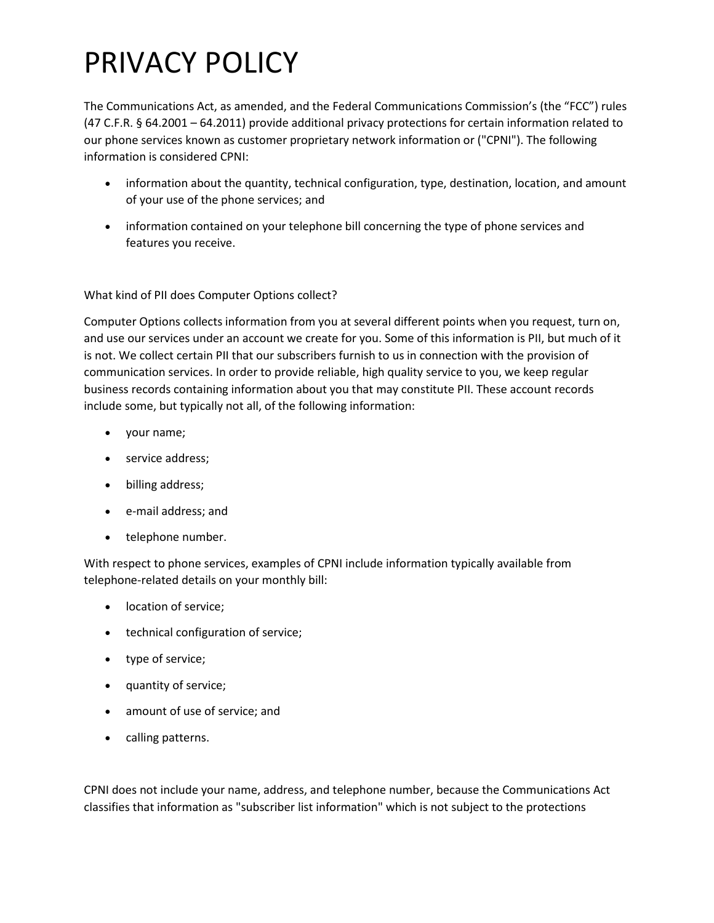The Communications Act, as amended, and the Federal Communications Commission's (the "FCC") rules (47 C.F.R. § 64.2001 – 64.2011) provide additional privacy protections for certain information related to our phone services known as customer proprietary network information or ("CPNI"). The following information is considered CPNI:

- information about the quantity, technical configuration, type, destination, location, and amount of your use of the phone services; and
- information contained on your telephone bill concerning the type of phone services and features you receive.

What kind of PII does Computer Options collect?

Computer Options collects information from you at several different points when you request, turn on, and use our services under an account we create for you. Some of this information is PII, but much of it is not. We collect certain PII that our subscribers furnish to us in connection with the provision of communication services. In order to provide reliable, high quality service to you, we keep regular business records containing information about you that may constitute PII. These account records include some, but typically not all, of the following information:

- your name;
- service address;
- billing address;
- e-mail address; and
- telephone number.

With respect to phone services, examples of CPNI include information typically available from telephone-related details on your monthly bill:

- location of service;
- technical configuration of service;
- type of service;
- quantity of service;
- amount of use of service; and
- calling patterns.

CPNI does not include your name, address, and telephone number, because the Communications Act classifies that information as "subscriber list information" which is not subject to the protections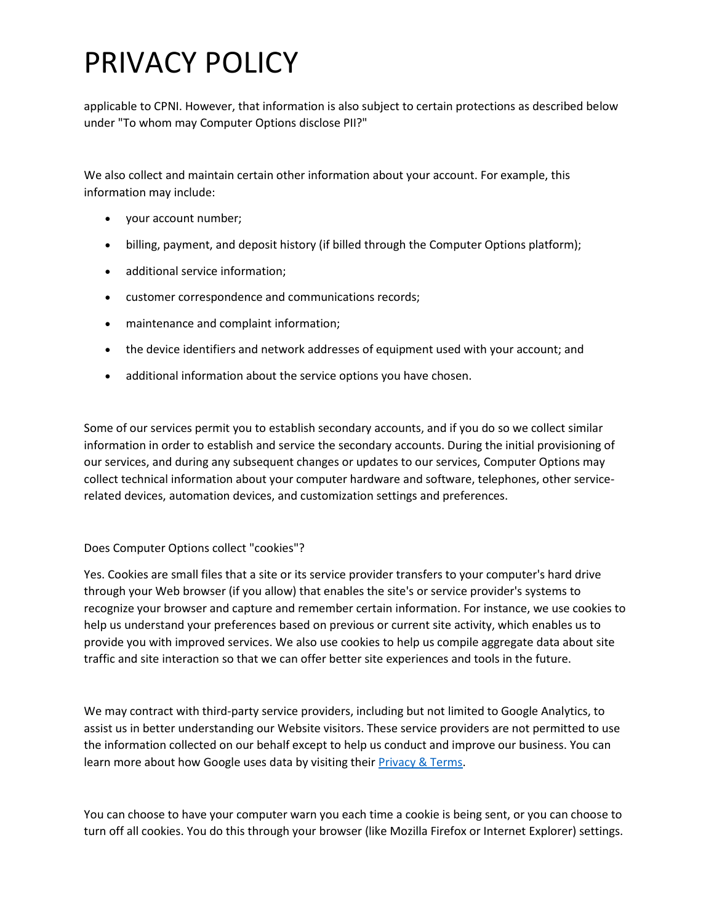applicable to CPNI. However, that information is also subject to certain protections as described below under "To whom may Computer Options disclose PII?"

We also collect and maintain certain other information about your account. For example, this information may include:

- your account number;
- billing, payment, and deposit history (if billed through the Computer Options platform);
- additional service information;
- customer correspondence and communications records;
- maintenance and complaint information;
- the device identifiers and network addresses of equipment used with your account; and
- additional information about the service options you have chosen.

Some of our services permit you to establish secondary accounts, and if you do so we collect similar information in order to establish and service the secondary accounts. During the initial provisioning of our services, and during any subsequent changes or updates to our services, Computer Options may collect technical information about your computer hardware and software, telephones, other servicerelated devices, automation devices, and customization settings and preferences.

#### Does Computer Options collect "cookies"?

Yes. Cookies are small files that a site or its service provider transfers to your computer's hard drive through your Web browser (if you allow) that enables the site's or service provider's systems to recognize your browser and capture and remember certain information. For instance, we use cookies to help us understand your preferences based on previous or current site activity, which enables us to provide you with improved services. We also use cookies to help us compile aggregate data about site traffic and site interaction so that we can offer better site experiences and tools in the future.

We may contract with third-party service providers, including but not limited to Google Analytics, to assist us in better understanding our Website visitors. These service providers are not permitted to use the information collected on our behalf except to help us conduct and improve our business. You can learn more about how Google uses data by visiting their **Privacy & Terms**.

You can choose to have your computer warn you each time a cookie is being sent, or you can choose to turn off all cookies. You do this through your browser (like Mozilla Firefox or Internet Explorer) settings.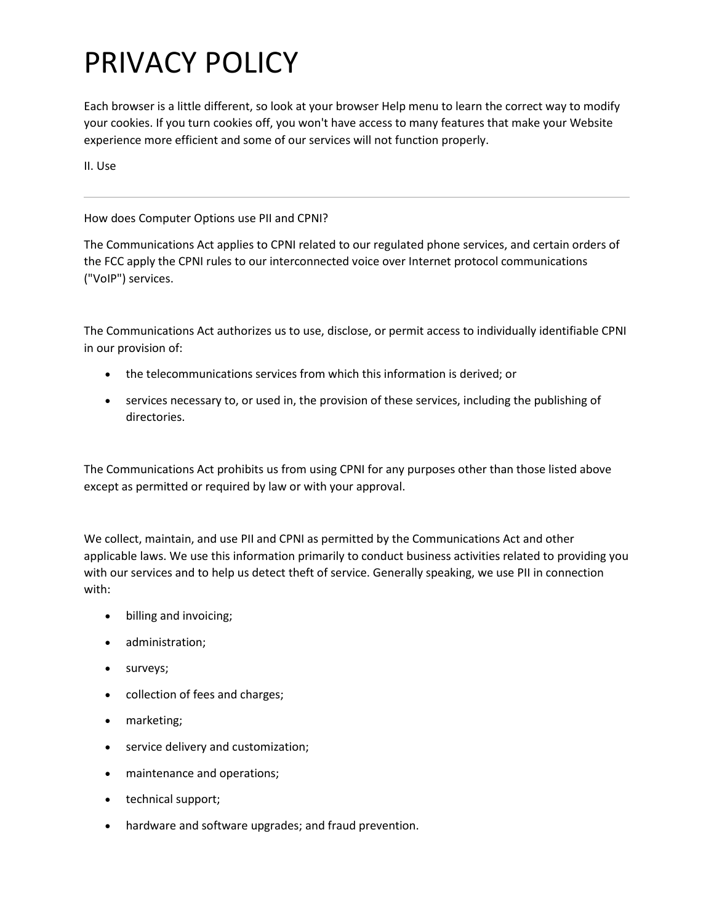Each browser is a little different, so look at your browser Help menu to learn the correct way to modify your cookies. If you turn cookies off, you won't have access to many features that make your Website experience more efficient and some of our services will not function properly.

II. Use

How does Computer Options use PII and CPNI?

The Communications Act applies to CPNI related to our regulated phone services, and certain orders of the FCC apply the CPNI rules to our interconnected voice over Internet protocol communications ("VoIP") services.

The Communications Act authorizes us to use, disclose, or permit access to individually identifiable CPNI in our provision of:

- the telecommunications services from which this information is derived; or
- services necessary to, or used in, the provision of these services, including the publishing of directories.

The Communications Act prohibits us from using CPNI for any purposes other than those listed above except as permitted or required by law or with your approval.

We collect, maintain, and use PII and CPNI as permitted by the Communications Act and other applicable laws. We use this information primarily to conduct business activities related to providing you with our services and to help us detect theft of service. Generally speaking, we use PII in connection with:

- billing and invoicing;
- administration;
- surveys;
- collection of fees and charges;
- marketing;
- service delivery and customization;
- maintenance and operations;
- technical support;
- hardware and software upgrades; and fraud prevention.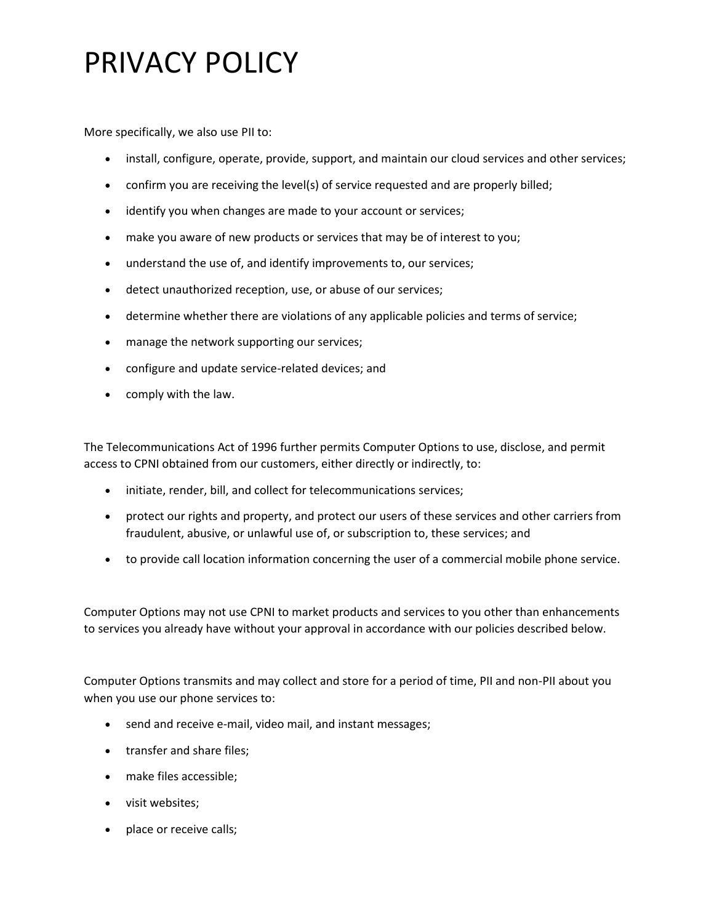More specifically, we also use PII to:

- install, configure, operate, provide, support, and maintain our cloud services and other services;
- confirm you are receiving the level(s) of service requested and are properly billed;
- identify you when changes are made to your account or services;
- make you aware of new products or services that may be of interest to you;
- understand the use of, and identify improvements to, our services;
- detect unauthorized reception, use, or abuse of our services;
- determine whether there are violations of any applicable policies and terms of service;
- manage the network supporting our services;
- configure and update service-related devices; and
- comply with the law.

The Telecommunications Act of 1996 further permits Computer Options to use, disclose, and permit access to CPNI obtained from our customers, either directly or indirectly, to:

- initiate, render, bill, and collect for telecommunications services;
- protect our rights and property, and protect our users of these services and other carriers from fraudulent, abusive, or unlawful use of, or subscription to, these services; and
- to provide call location information concerning the user of a commercial mobile phone service.

Computer Options may not use CPNI to market products and services to you other than enhancements to services you already have without your approval in accordance with our policies described below.

Computer Options transmits and may collect and store for a period of time, PII and non-PII about you when you use our phone services to:

- send and receive e-mail, video mail, and instant messages;
- transfer and share files;
- make files accessible;
- visit websites;
- place or receive calls;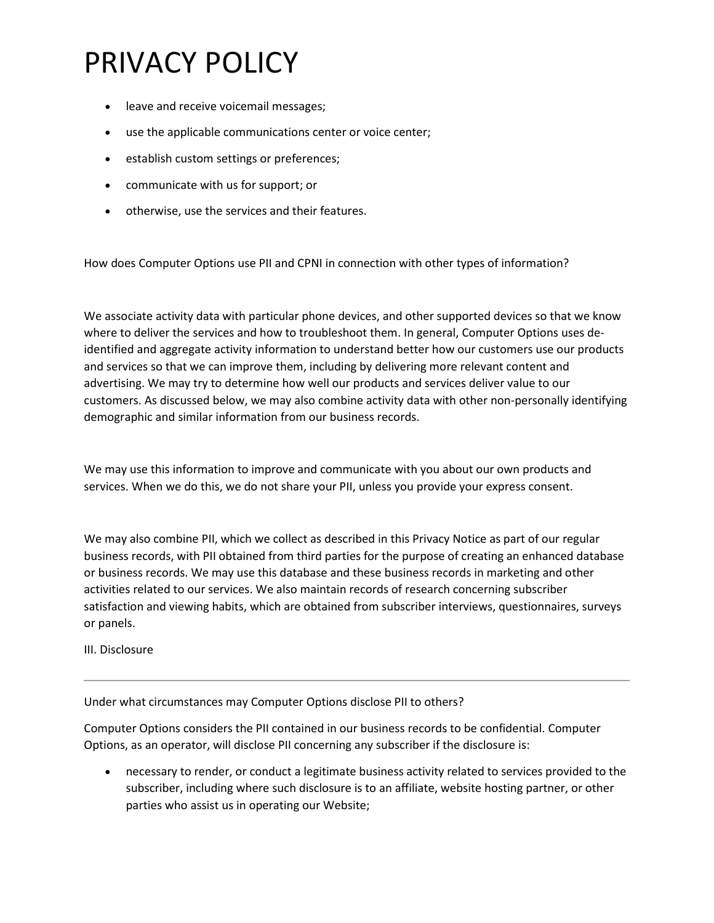- leave and receive voicemail messages;
- use the applicable communications center or voice center;
- establish custom settings or preferences;
- communicate with us for support; or
- otherwise, use the services and their features.

How does Computer Options use PII and CPNI in connection with other types of information?

We associate activity data with particular phone devices, and other supported devices so that we know where to deliver the services and how to troubleshoot them. In general, Computer Options uses deidentified and aggregate activity information to understand better how our customers use our products and services so that we can improve them, including by delivering more relevant content and advertising. We may try to determine how well our products and services deliver value to our customers. As discussed below, we may also combine activity data with other non-personally identifying demographic and similar information from our business records.

We may use this information to improve and communicate with you about our own products and services. When we do this, we do not share your PII, unless you provide your express consent.

We may also combine PII, which we collect as described in this Privacy Notice as part of our regular business records, with PII obtained from third parties for the purpose of creating an enhanced database or business records. We may use this database and these business records in marketing and other activities related to our services. We also maintain records of research concerning subscriber satisfaction and viewing habits, which are obtained from subscriber interviews, questionnaires, surveys or panels.

III. Disclosure

Under what circumstances may Computer Options disclose PII to others?

Computer Options considers the PII contained in our business records to be confidential. Computer Options, as an operator, will disclose PII concerning any subscriber if the disclosure is:

• necessary to render, or conduct a legitimate business activity related to services provided to the subscriber, including where such disclosure is to an affiliate, website hosting partner, or other parties who assist us in operating our Website;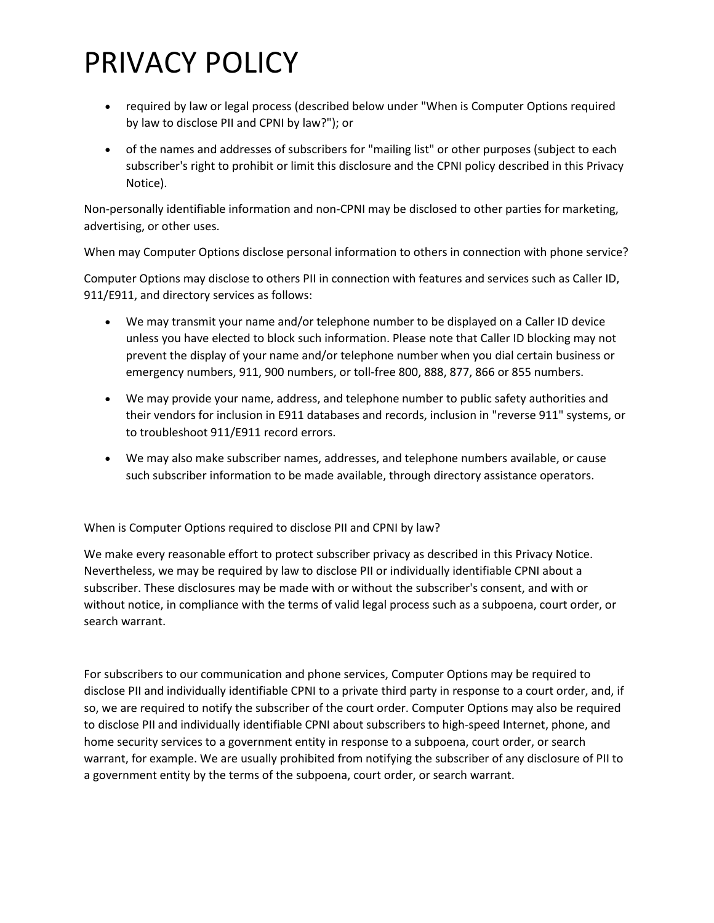- required by law or legal process (described below under "When is Computer Options required by law to disclose PII and CPNI by law?"); or
- of the names and addresses of subscribers for "mailing list" or other purposes (subject to each subscriber's right to prohibit or limit this disclosure and the CPNI policy described in this Privacy Notice).

Non-personally identifiable information and non-CPNI may be disclosed to other parties for marketing, advertising, or other uses.

When may Computer Options disclose personal information to others in connection with phone service?

Computer Options may disclose to others PII in connection with features and services such as Caller ID, 911/E911, and directory services as follows:

- We may transmit your name and/or telephone number to be displayed on a Caller ID device unless you have elected to block such information. Please note that Caller ID blocking may not prevent the display of your name and/or telephone number when you dial certain business or emergency numbers, 911, 900 numbers, or toll-free 800, 888, 877, 866 or 855 numbers.
- We may provide your name, address, and telephone number to public safety authorities and their vendors for inclusion in E911 databases and records, inclusion in "reverse 911" systems, or to troubleshoot 911/E911 record errors.
- We may also make subscriber names, addresses, and telephone numbers available, or cause such subscriber information to be made available, through directory assistance operators.

When is Computer Options required to disclose PII and CPNI by law?

We make every reasonable effort to protect subscriber privacy as described in this Privacy Notice. Nevertheless, we may be required by law to disclose PII or individually identifiable CPNI about a subscriber. These disclosures may be made with or without the subscriber's consent, and with or without notice, in compliance with the terms of valid legal process such as a subpoena, court order, or search warrant.

For subscribers to our communication and phone services, Computer Options may be required to disclose PII and individually identifiable CPNI to a private third party in response to a court order, and, if so, we are required to notify the subscriber of the court order. Computer Options may also be required to disclose PII and individually identifiable CPNI about subscribers to high-speed Internet, phone, and home security services to a government entity in response to a subpoena, court order, or search warrant, for example. We are usually prohibited from notifying the subscriber of any disclosure of PII to a government entity by the terms of the subpoena, court order, or search warrant.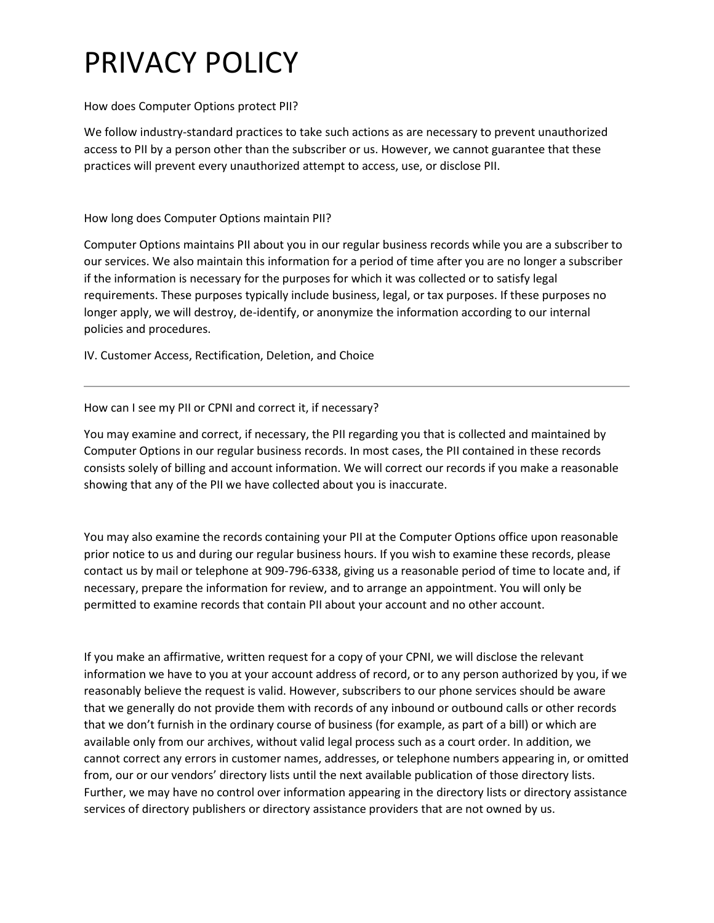### How does Computer Options protect PII?

We follow industry-standard practices to take such actions as are necessary to prevent unauthorized access to PII by a person other than the subscriber or us. However, we cannot guarantee that these practices will prevent every unauthorized attempt to access, use, or disclose PII.

How long does Computer Options maintain PII?

Computer Options maintains PII about you in our regular business records while you are a subscriber to our services. We also maintain this information for a period of time after you are no longer a subscriber if the information is necessary for the purposes for which it was collected or to satisfy legal requirements. These purposes typically include business, legal, or tax purposes. If these purposes no longer apply, we will destroy, de-identify, or anonymize the information according to our internal policies and procedures.

IV. Customer Access, Rectification, Deletion, and Choice

How can I see my PII or CPNI and correct it, if necessary?

You may examine and correct, if necessary, the PII regarding you that is collected and maintained by Computer Options in our regular business records. In most cases, the PII contained in these records consists solely of billing and account information. We will correct our records if you make a reasonable showing that any of the PII we have collected about you is inaccurate.

You may also examine the records containing your PII at the Computer Options office upon reasonable prior notice to us and during our regular business hours. If you wish to examine these records, please contact us by mail or telephone at 909-796-6338, giving us a reasonable period of time to locate and, if necessary, prepare the information for review, and to arrange an appointment. You will only be permitted to examine records that contain PII about your account and no other account.

If you make an affirmative, written request for a copy of your CPNI, we will disclose the relevant information we have to you at your account address of record, or to any person authorized by you, if we reasonably believe the request is valid. However, subscribers to our phone services should be aware that we generally do not provide them with records of any inbound or outbound calls or other records that we don't furnish in the ordinary course of business (for example, as part of a bill) or which are available only from our archives, without valid legal process such as a court order. In addition, we cannot correct any errors in customer names, addresses, or telephone numbers appearing in, or omitted from, our or our vendors' directory lists until the next available publication of those directory lists. Further, we may have no control over information appearing in the directory lists or directory assistance services of directory publishers or directory assistance providers that are not owned by us.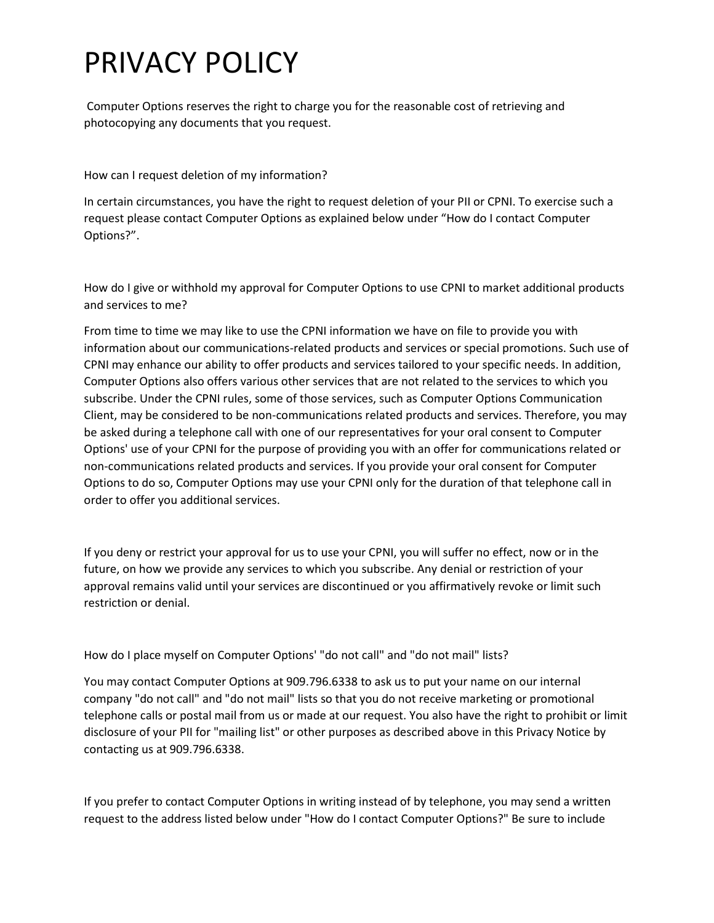Computer Options reserves the right to charge you for the reasonable cost of retrieving and photocopying any documents that you request.

How can I request deletion of my information?

In certain circumstances, you have the right to request deletion of your PII or CPNI. To exercise such a request please contact Computer Options as explained below under "How do I contact Computer Options?".

How do I give or withhold my approval for Computer Options to use CPNI to market additional products and services to me?

From time to time we may like to use the CPNI information we have on file to provide you with information about our communications-related products and services or special promotions. Such use of CPNI may enhance our ability to offer products and services tailored to your specific needs. In addition, Computer Options also offers various other services that are not related to the services to which you subscribe. Under the CPNI rules, some of those services, such as Computer Options Communication Client, may be considered to be non-communications related products and services. Therefore, you may be asked during a telephone call with one of our representatives for your oral consent to Computer Options' use of your CPNI for the purpose of providing you with an offer for communications related or non-communications related products and services. If you provide your oral consent for Computer Options to do so, Computer Options may use your CPNI only for the duration of that telephone call in order to offer you additional services.

If you deny or restrict your approval for us to use your CPNI, you will suffer no effect, now or in the future, on how we provide any services to which you subscribe. Any denial or restriction of your approval remains valid until your services are discontinued or you affirmatively revoke or limit such restriction or denial.

How do I place myself on Computer Options' "do not call" and "do not mail" lists?

You may contact Computer Options at 909.796.6338 to ask us to put your name on our internal company "do not call" and "do not mail" lists so that you do not receive marketing or promotional telephone calls or postal mail from us or made at our request. You also have the right to prohibit or limit disclosure of your PII for "mailing list" or other purposes as described above in this Privacy Notice by contacting us at 909.796.6338.

If you prefer to contact Computer Options in writing instead of by telephone, you may send a written request to the address listed below under "How do I contact Computer Options?" Be sure to include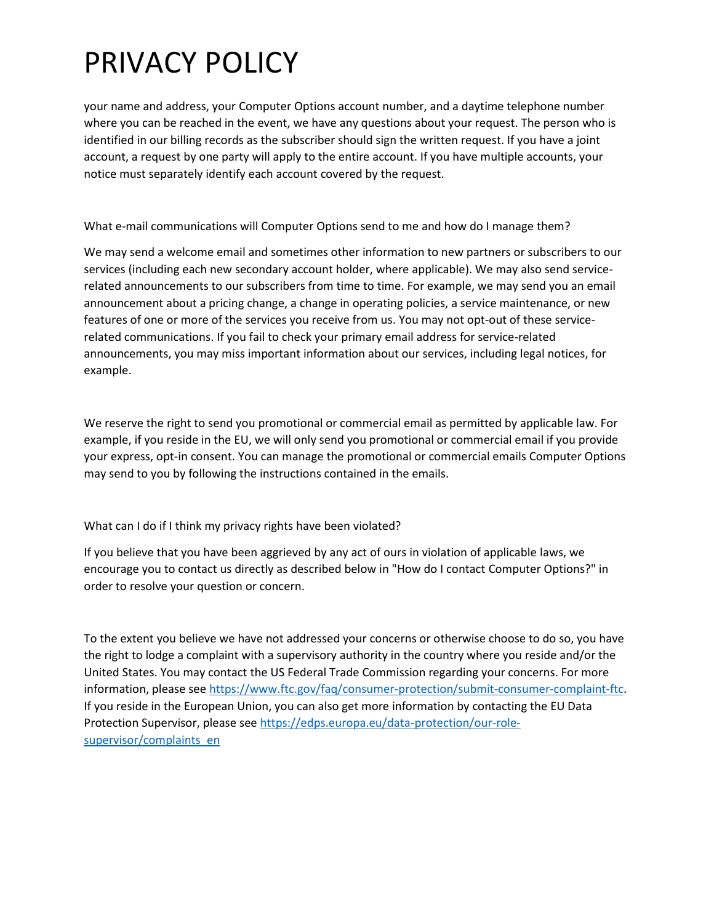your name and address, your Computer Options account number, and a daytime telephone number where you can be reached in the event, we have any questions about your request. The person who is identified in our billing records as the subscriber should sign the written request. If you have a joint account, a request by one party will apply to the entire account. If you have multiple accounts, your notice must separately identify each account covered by the request.

What e-mail communications will Computer Options send to me and how do I manage them?

We may send a welcome email and sometimes other information to new partners or subscribers to our services (including each new secondary account holder, where applicable). We may also send servicerelated announcements to our subscribers from time to time. For example, we may send you an email announcement about a pricing change, a change in operating policies, a service maintenance, or new features of one or more of the services you receive from us. You may not opt-out of these servicerelated communications. If you fail to check your primary email address for service-related announcements, you may miss important information about our services, including legal notices, for example.

We reserve the right to send you promotional or commercial email as permitted by applicable law. For example, if you reside in the EU, we will only send you promotional or commercial email if you provide your express, opt-in consent. You can manage the promotional or commercial emails Computer Options may send to you by following the instructions contained in the emails.

What can I do if I think my privacy rights have been violated?

If you believe that you have been aggrieved by any act of ours in violation of applicable laws, we encourage you to contact us directly as described below in "How do I contact Computer Options?" in order to resolve your question or concern.

To the extent you believe we have not addressed your concerns or otherwise choose to do so, you have the right to lodge a complaint with a supervisory authority in the country where you reside and/or the United States. You may contact the US Federal Trade Commission regarding your concerns. For more information, please see [https://www.ftc.gov/faq/consumer-protection/submit-consumer-complaint-ftc.](https://www.ftc.gov/faq/consumer-protection/submit-consumer-complaint-ftc) If you reside in the European Union, you can also get more information by contacting the EU Data Protection Supervisor, please see [https://edps.europa.eu/data-protection/our-role](https://edps.europa.eu/data-protection/our-role-supervisor/complaints_en)[supervisor/complaints\\_en](https://edps.europa.eu/data-protection/our-role-supervisor/complaints_en)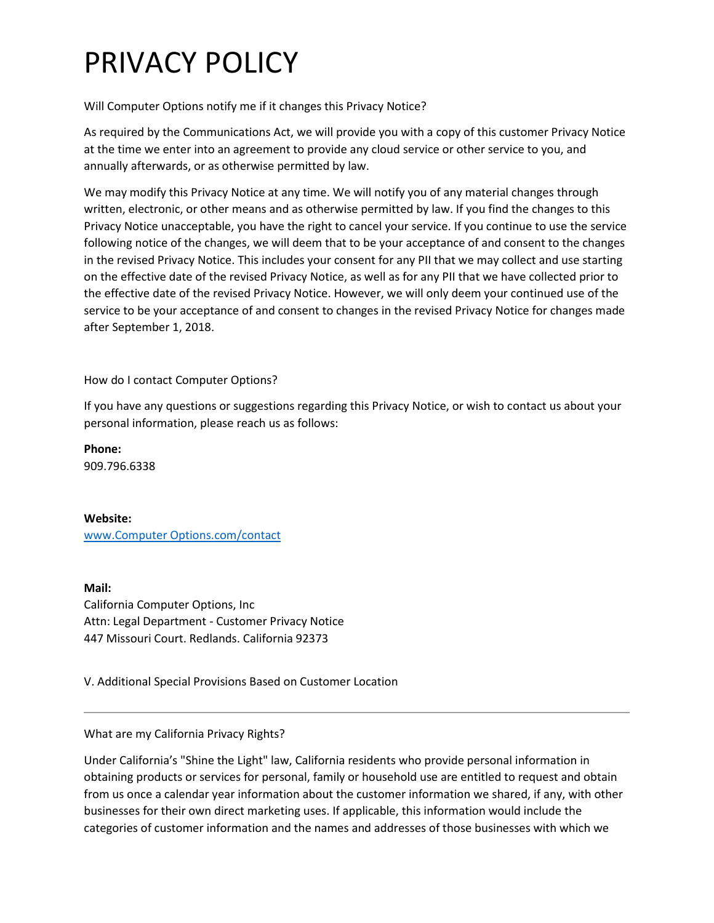### Will Computer Options notify me if it changes this Privacy Notice?

As required by the Communications Act, we will provide you with a copy of this customer Privacy Notice at the time we enter into an agreement to provide any cloud service or other service to you, and annually afterwards, or as otherwise permitted by law.

We may modify this Privacy Notice at any time. We will notify you of any material changes through written, electronic, or other means and as otherwise permitted by law. If you find the changes to this Privacy Notice unacceptable, you have the right to cancel your service. If you continue to use the service following notice of the changes, we will deem that to be your acceptance of and consent to the changes in the revised Privacy Notice. This includes your consent for any PII that we may collect and use starting on the effective date of the revised Privacy Notice, as well as for any PII that we have collected prior to the effective date of the revised Privacy Notice. However, we will only deem your continued use of the service to be your acceptance of and consent to changes in the revised Privacy Notice for changes made after September 1, 2018.

How do I contact Computer Options?

If you have any questions or suggestions regarding this Privacy Notice, or wish to contact us about your personal information, please reach us as follows:

**Phone:** 909.796.6338

#### **Website:**

[www.Computer Options.com/contact](https://www.coredial.com/2019-contact?hs_preview=IwsEVQLQ-12208122993)

**Mail:** California Computer Options, Inc Attn: Legal Department - Customer Privacy Notice 447 Missouri Court. Redlands. California 92373

V. Additional Special Provisions Based on Customer Location

#### What are my California Privacy Rights?

Under California's "Shine the Light" law, California residents who provide personal information in obtaining products or services for personal, family or household use are entitled to request and obtain from us once a calendar year information about the customer information we shared, if any, with other businesses for their own direct marketing uses. If applicable, this information would include the categories of customer information and the names and addresses of those businesses with which we